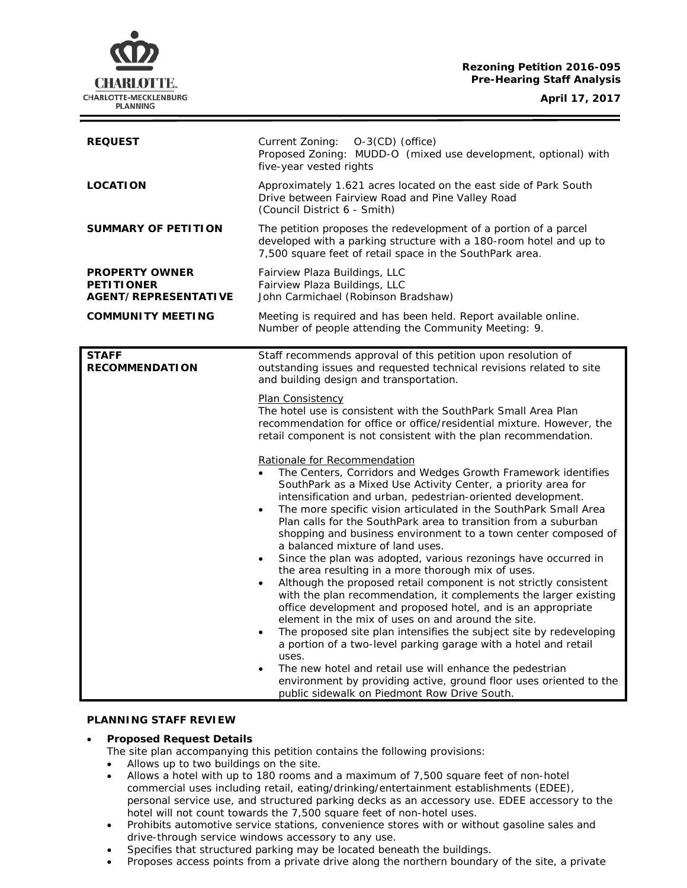## **Rezoning Petition 2016-095 Pre-Hearing Staff Analysis**

**April 17, 2017**



| <b>REQUEST</b>                                                     | Current Zoning: O-3(CD) (office)<br>Proposed Zoning: MUDD-O (mixed use development, optional) with<br>five-year vested rights                                                                                                                                                                                                                                                                                                                                                                                                                                                                                                                                                                                                                                                                                                                                                                                                                                                                                                                                                                                                                                                                                                                                                                                                                                                                                                                                                    |
|--------------------------------------------------------------------|----------------------------------------------------------------------------------------------------------------------------------------------------------------------------------------------------------------------------------------------------------------------------------------------------------------------------------------------------------------------------------------------------------------------------------------------------------------------------------------------------------------------------------------------------------------------------------------------------------------------------------------------------------------------------------------------------------------------------------------------------------------------------------------------------------------------------------------------------------------------------------------------------------------------------------------------------------------------------------------------------------------------------------------------------------------------------------------------------------------------------------------------------------------------------------------------------------------------------------------------------------------------------------------------------------------------------------------------------------------------------------------------------------------------------------------------------------------------------------|
| <b>LOCATION</b>                                                    | Approximately 1.621 acres located on the east side of Park South<br>Drive between Fairview Road and Pine Valley Road<br>(Council District 6 - Smith)                                                                                                                                                                                                                                                                                                                                                                                                                                                                                                                                                                                                                                                                                                                                                                                                                                                                                                                                                                                                                                                                                                                                                                                                                                                                                                                             |
| <b>SUMMARY OF PETITION</b>                                         | The petition proposes the redevelopment of a portion of a parcel<br>developed with a parking structure with a 180-room hotel and up to<br>7,500 square feet of retail space in the SouthPark area.                                                                                                                                                                                                                                                                                                                                                                                                                                                                                                                                                                                                                                                                                                                                                                                                                                                                                                                                                                                                                                                                                                                                                                                                                                                                               |
| <b>PROPERTY OWNER</b><br><b>PETITIONER</b><br>AGENT/REPRESENTATIVE | Fairview Plaza Buildings, LLC<br>Fairview Plaza Buildings, LLC<br>John Carmichael (Robinson Bradshaw)                                                                                                                                                                                                                                                                                                                                                                                                                                                                                                                                                                                                                                                                                                                                                                                                                                                                                                                                                                                                                                                                                                                                                                                                                                                                                                                                                                            |
| <b>COMMUNITY MEETING</b>                                           | Meeting is required and has been held. Report available online.<br>Number of people attending the Community Meeting: 9.                                                                                                                                                                                                                                                                                                                                                                                                                                                                                                                                                                                                                                                                                                                                                                                                                                                                                                                                                                                                                                                                                                                                                                                                                                                                                                                                                          |
| <b>STAFF</b><br><b>RECOMMENDATION</b>                              | Staff recommends approval of this petition upon resolution of<br>outstanding issues and requested technical revisions related to site<br>and building design and transportation.                                                                                                                                                                                                                                                                                                                                                                                                                                                                                                                                                                                                                                                                                                                                                                                                                                                                                                                                                                                                                                                                                                                                                                                                                                                                                                 |
|                                                                    | Plan Consistency<br>The hotel use is consistent with the SouthPark Small Area Plan<br>recommendation for office or office/residential mixture. However, the<br>retail component is not consistent with the plan recommendation.<br>Rationale for Recommendation<br>The Centers, Corridors and Wedges Growth Framework identifies<br>SouthPark as a Mixed Use Activity Center, a priority area for<br>intensification and urban, pedestrian-oriented development.<br>The more specific vision articulated in the SouthPark Small Area<br>$\bullet$<br>Plan calls for the SouthPark area to transition from a suburban<br>shopping and business environment to a town center composed of<br>a balanced mixture of land uses.<br>Since the plan was adopted, various rezonings have occurred in<br>the area resulting in a more thorough mix of uses.<br>Although the proposed retail component is not strictly consistent<br>$\bullet$<br>with the plan recommendation, it complements the larger existing<br>office development and proposed hotel, and is an appropriate<br>element in the mix of uses on and around the site.<br>The proposed site plan intensifies the subject site by redeveloping<br>a portion of a two-level parking garage with a hotel and retail<br>uses.<br>The new hotel and retail use will enhance the pedestrian<br>$\bullet$<br>environment by providing active, ground floor uses oriented to the<br>public sidewalk on Piedmont Row Drive South. |

## **PLANNING STAFF REVIEW**

### • **Proposed Request Details**

- The site plan accompanying this petition contains the following provisions:
- Allows up to two buildings on the site.
- Allows a hotel with up to 180 rooms and a maximum of 7,500 square feet of non-hotel commercial uses including retail, eating/drinking/entertainment establishments (EDEE), personal service use, and structured parking decks as an accessory use. EDEE accessory to the hotel will not count towards the 7,500 square feet of non-hotel uses.
- Prohibits automotive service stations, convenience stores with or without gasoline sales and drive-through service windows accessory to any use.
- Specifies that structured parking may be located beneath the buildings.
- Proposes access points from a private drive along the northern boundary of the site, a private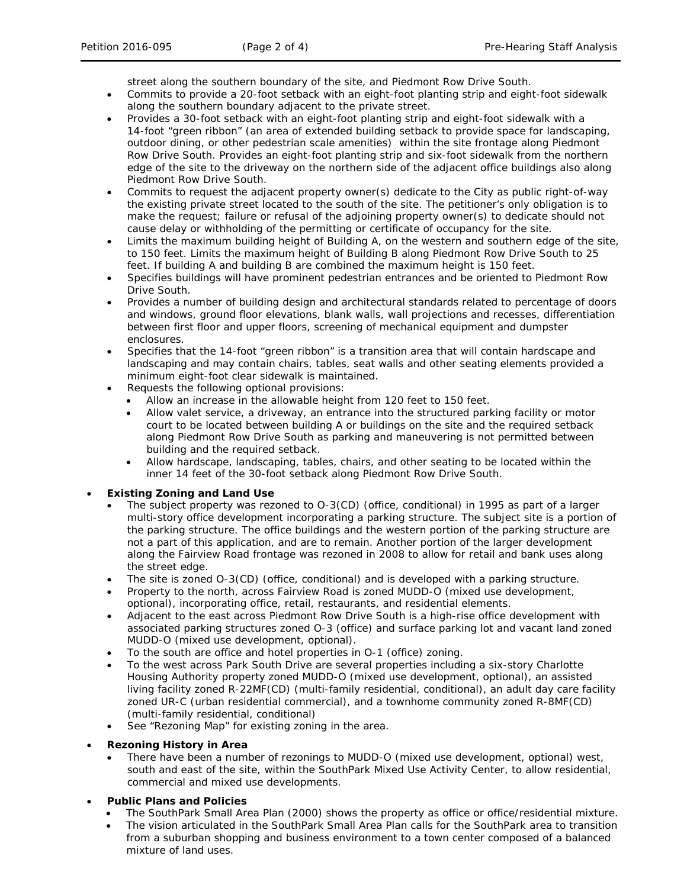street along the southern boundary of the site, and Piedmont Row Drive South.

- Commits to provide a 20-foot setback with an eight-foot planting strip and eight-foot sidewalk along the southern boundary adjacent to the private street.
- Provides a 30-foot setback with an eight-foot planting strip and eight-foot sidewalk with a 14-foot "green ribbon" (an area of extended building setback to provide space for landscaping, outdoor dining, or other pedestrian scale amenities) within the site frontage along Piedmont Row Drive South. Provides an eight-foot planting strip and six-foot sidewalk from the northern edge of the site to the driveway on the northern side of the adjacent office buildings also along Piedmont Row Drive South.
- Commits to request the adjacent property owner(s) dedicate to the City as public right-of-way the existing private street located to the south of the site. The petitioner's only obligation is to make the request; failure or refusal of the adjoining property owner(s) to dedicate should not cause delay or withholding of the permitting or certificate of occupancy for the site.
- Limits the maximum building height of Building A, on the western and southern edge of the site, to 150 feet. Limits the maximum height of Building B along Piedmont Row Drive South to 25 feet. If building A and building B are combined the maximum height is 150 feet.
- Specifies buildings will have prominent pedestrian entrances and be oriented to Piedmont Row Drive South.
- Provides a number of building design and architectural standards related to percentage of doors and windows, ground floor elevations, blank walls, wall projections and recesses, differentiation between first floor and upper floors, screening of mechanical equipment and dumpster enclosures.
- Specifies that the 14-foot "green ribbon" is a transition area that will contain hardscape and landscaping and may contain chairs, tables, seat walls and other seating elements provided a minimum eight-foot clear sidewalk is maintained.
- Requests the following optional provisions:
	- Allow an increase in the allowable height from 120 feet to 150 feet.
	- Allow valet service, a driveway, an entrance into the structured parking facility or motor court to be located between building A or buildings on the site and the required setback along Piedmont Row Drive South as parking and maneuvering is not permitted between building and the required setback.
	- Allow hardscape, landscaping, tables, chairs, and other seating to be located within the inner 14 feet of the 30-foot setback along Piedmont Row Drive South.

## • **Existing Zoning and Land Use**

- The subject property was rezoned to O-3(CD) (office, conditional) in 1995 as part of a larger multi-story office development incorporating a parking structure. The subject site is a portion of the parking structure. The office buildings and the western portion of the parking structure are not a part of this application, and are to remain. Another portion of the larger development along the Fairview Road frontage was rezoned in 2008 to allow for retail and bank uses along the street edge.
- The site is zoned O-3(CD) (office, conditional) and is developed with a parking structure.
- Property to the north, across Fairview Road is zoned MUDD-O (mixed use development, optional), incorporating office, retail, restaurants, and residential elements.
- Adjacent to the east across Piedmont Row Drive South is a high-rise office development with associated parking structures zoned O-3 (office) and surface parking lot and vacant land zoned MUDD-O (mixed use development, optional).
- To the south are office and hotel properties in O-1 (office) zoning.
- To the west across Park South Drive are several properties including a six-story Charlotte Housing Authority property zoned MUDD-O (mixed use development, optional), an assisted living facility zoned R-22MF(CD) (multi-family residential, conditional), an adult day care facility zoned UR-C (urban residential commercial), and a townhome community zoned R-8MF(CD) (multi-family residential, conditional)
- See "Rezoning Map" for existing zoning in the area.

## • **Rezoning History in Area**

• There have been a number of rezonings to MUDD-O (mixed use development, optional) west, south and east of the site, within the SouthPark Mixed Use Activity Center, to allow residential, commercial and mixed use developments.

## • **Public Plans and Policies**

- The *SouthPark Small Area* Plan (2000) shows the property as office or office/residential mixture.
- The vision articulated in the *SouthPark Small Area Plan* calls for the SouthPark area to transition from a suburban shopping and business environment to a town center composed of a balanced mixture of land uses.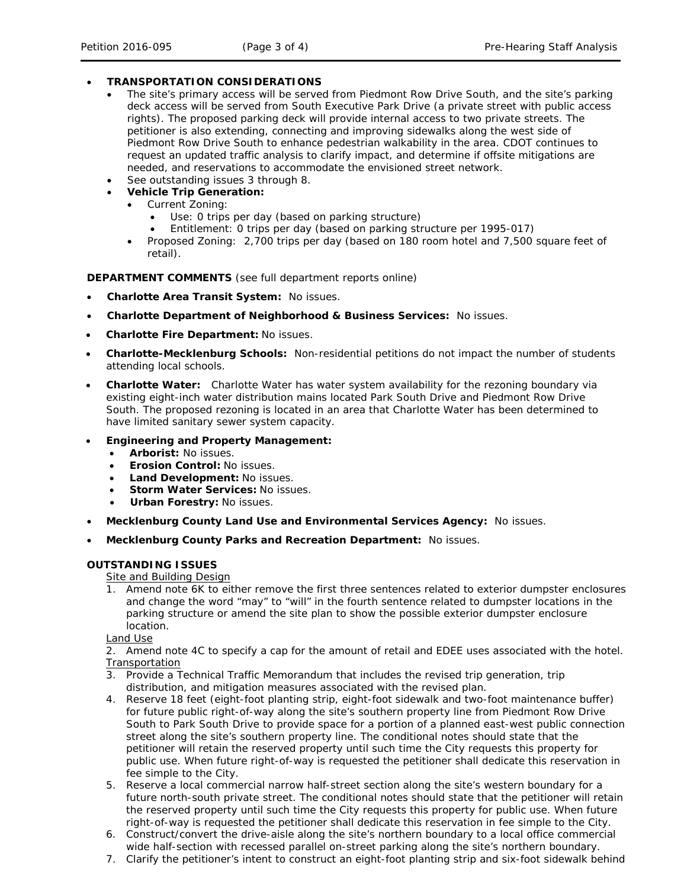# • **TRANSPORTATION CONSIDERATIONS**

- The site's primary access will be served from Piedmont Row Drive South, and the site's parking deck access will be served from South Executive Park Drive (a private street with public access rights). The proposed parking deck will provide internal access to two private streets. The petitioner is also extending, connecting and improving sidewalks along the west side of Piedmont Row Drive South to enhance pedestrian walkability in the area. CDOT continues to request an updated traffic analysis to clarify impact, and determine if offsite mitigations are needed, and reservations to accommodate the envisioned street network.
- See outstanding issues 3 through 8.
- **Vehicle Trip Generation:**
	- Current Zoning:
		- Use: 0 trips per day (based on parking structure)
		- Entitlement: 0 trips per day (based on parking structure per 1995-017)
	- Proposed Zoning: 2,700 trips per day (based on 180 room hotel and 7,500 square feet of retail).

**DEPARTMENT COMMENTS** (see full department reports online)

- **Charlotte Area Transit System:** No issues.
- **Charlotte Department of Neighborhood & Business Services:** No issues.
- **Charlotte Fire Department:** No issues.
- **Charlotte-Mecklenburg Schools:** Non-residential petitions do not impact the number of students attending local schools.
- **Charlotte Water:** Charlotte Water has water system availability for the rezoning boundary via existing eight-inch water distribution mains located Park South Drive and Piedmont Row Drive South. The proposed rezoning is located in an area that Charlotte Water has been determined to have limited sanitary sewer system capacity.

## • **Engineering and Property Management:**

- **Arborist:** No issues.
- **Erosion Control:** No issues.
- **Land Development:** No issues.
- **Storm Water Services:** No issues.
- **Urban Forestry:** No issues.
- **Mecklenburg County Land Use and Environmental Services Agency:** No issues.
- **Mecklenburg County Parks and Recreation Department:** No issues.

#### **OUTSTANDING ISSUES**

Site and Building Design

1. Amend note 6K to either remove the first three sentences related to exterior dumpster enclosures and change the word "may" to "will" in the fourth sentence related to dumpster locations in the parking structure or amend the site plan to show the possible exterior dumpster enclosure location.

Land Use

2. Amend note 4C to specify a cap for the amount of retail and EDEE uses associated with the hotel. Transportation

- 3. Provide a Technical Traffic Memorandum that includes the revised trip generation, trip distribution, and mitigation measures associated with the revised plan.
- 4. Reserve 18 feet (eight-foot planting strip, eight-foot sidewalk and two-foot maintenance buffer) for future public right-of-way along the site's southern property line from Piedmont Row Drive South to Park South Drive to provide space for a portion of a planned east-west public connection street along the site's southern property line. The conditional notes should state that the petitioner will retain the reserved property until such time the City requests this property for public use. When future right-of-way is requested the petitioner shall dedicate this reservation in fee simple to the City.
- 5. Reserve a local commercial narrow half-street section along the site's western boundary for a future north-south private street. The conditional notes should state that the petitioner will retain the reserved property until such time the City requests this property for public use. When future right-of-way is requested the petitioner shall dedicate this reservation in fee simple to the City.
- 6. Construct/convert the drive-aisle along the site's northern boundary to a local office commercial wide half-section with recessed parallel on-street parking along the site's northern boundary.
- 7. Clarify the petitioner's intent to construct an eight-foot planting strip and six-foot sidewalk behind